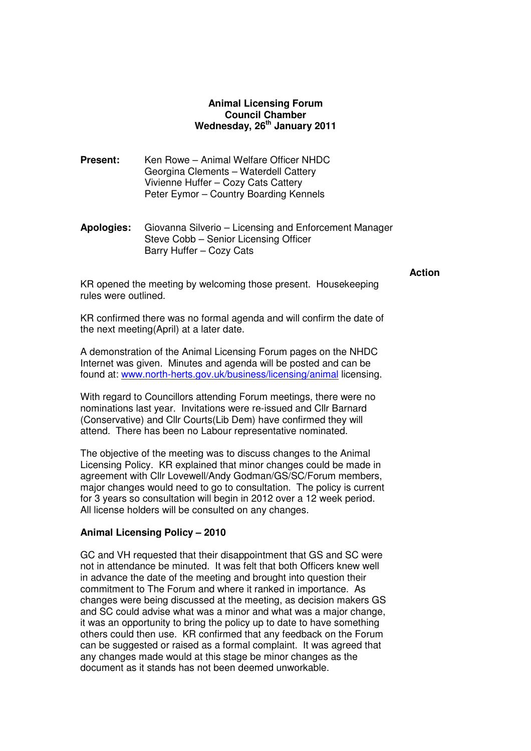# **Animal Licensing Forum Council Chamber Wednesday, 26th January 2011**

- **Present:** Ken Rowe Animal Welfare Officer NHDC Georgina Clements – Waterdell Cattery Vivienne Huffer – Cozy Cats Cattery Peter Eymor – Country Boarding Kennels
- **Apologies:** Giovanna Silverio Licensing and Enforcement Manager Steve Cobb – Senior Licensing Officer Barry Huffer – Cozy Cats

#### **Action**

KR opened the meeting by welcoming those present. Housekeeping rules were outlined.

KR confirmed there was no formal agenda and will confirm the date of the next meeting(April) at a later date.

A demonstration of the Animal Licensing Forum pages on the NHDC Internet was given. Minutes and agenda will be posted and can be found at: www.north-herts.gov.uk/business/licensing/animal licensing.

With regard to Councillors attending Forum meetings, there were no nominations last year. Invitations were re-issued and Cllr Barnard (Conservative) and Cllr Courts(Lib Dem) have confirmed they will attend. There has been no Labour representative nominated.

The objective of the meeting was to discuss changes to the Animal Licensing Policy. KR explained that minor changes could be made in agreement with Cllr Lovewell/Andy Godman/GS/SC/Forum members, major changes would need to go to consultation. The policy is current for 3 years so consultation will begin in 2012 over a 12 week period. All license holders will be consulted on any changes.

### **Animal Licensing Policy – 2010**

GC and VH requested that their disappointment that GS and SC were not in attendance be minuted. It was felt that both Officers knew well in advance the date of the meeting and brought into question their commitment to The Forum and where it ranked in importance. As changes were being discussed at the meeting, as decision makers GS and SC could advise what was a minor and what was a major change, it was an opportunity to bring the policy up to date to have something others could then use. KR confirmed that any feedback on the Forum can be suggested or raised as a formal complaint. It was agreed that any changes made would at this stage be minor changes as the document as it stands has not been deemed unworkable.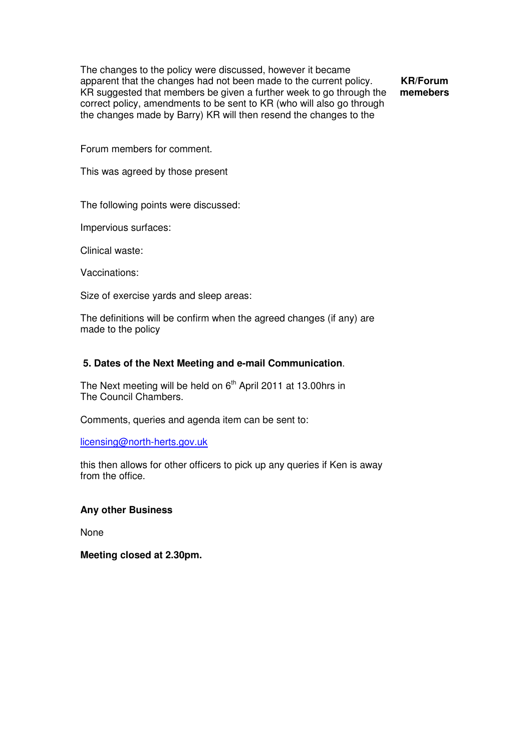The changes to the policy were discussed, however it became apparent that the changes had not been made to the current policy. KR suggested that members be given a further week to go through the correct policy, amendments to be sent to KR (who will also go through the changes made by Barry) KR will then resend the changes to the

**KR/Forum memebers** 

Forum members for comment.

This was agreed by those present

The following points were discussed:

Impervious surfaces:

Clinical waste:

Vaccinations:

Size of exercise yards and sleep areas:

The definitions will be confirm when the agreed changes (if any) are made to the policy

## **5. Dates of the Next Meeting and e-mail Communication**.

The Next meeting will be held on  $6<sup>th</sup>$  April 2011 at 13.00hrs in The Council Chambers.

Comments, queries and agenda item can be sent to:

licensing@north-herts.gov.uk

this then allows for other officers to pick up any queries if Ken is away from the office.

### **Any other Business**

None

**Meeting closed at 2.30pm.**